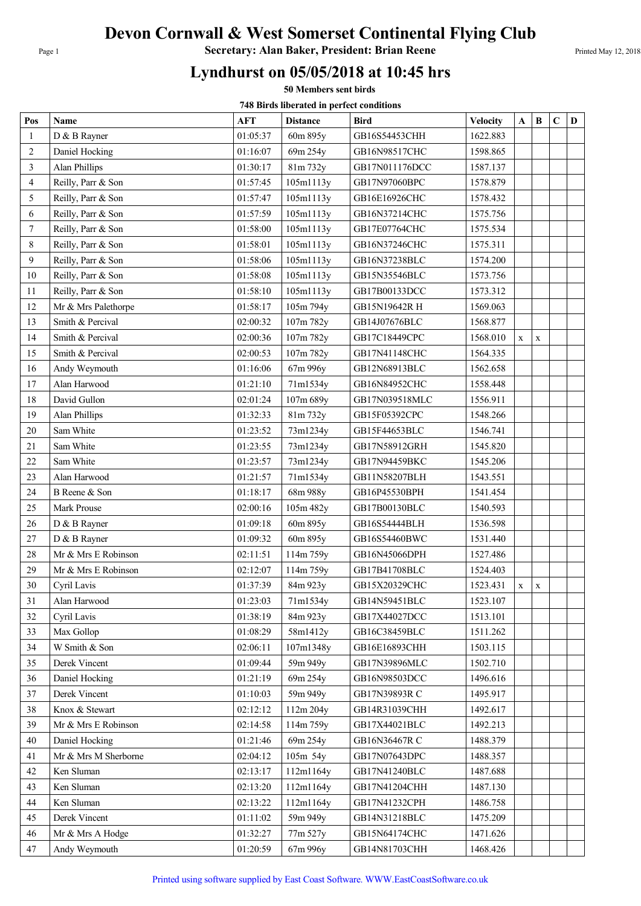# Devon Cornwall & West Somerset Continental Flying Club

Page 1 **Secretary: Alan Baker, President: Brian Reene** Printed May 12, 2018

### Lyndhurst on 05/05/2018 at 10:45 hrs

50 Members sent birds

748 Birds liberated in perfect conditions

| Pos            | <b>Name</b>          | AFT      | <b>Distance</b> | Bird           | <b>Velocity</b> | $\mathbf{A}$ | $\bf{B}$    | $\mathbf C$ | D |
|----------------|----------------------|----------|-----------------|----------------|-----------------|--------------|-------------|-------------|---|
| -1             | D & B Rayner         | 01:05:37 | 60m 895y        | GB16S54453CHH  | 1622.883        |              |             |             |   |
| $\overline{2}$ | Daniel Hocking       | 01:16:07 | 69m 254y        | GB16N98517CHC  | 1598.865        |              |             |             |   |
| 3              | Alan Phillips        | 01:30:17 | 81m 732y        | GB17N011176DCC | 1587.137        |              |             |             |   |
| $\overline{4}$ | Reilly, Parr & Son   | 01:57:45 | 105m1113y       | GB17N97060BPC  | 1578.879        |              |             |             |   |
| 5              | Reilly, Parr & Son   | 01:57:47 | 105m1113y       | GB16E16926CHC  | 1578.432        |              |             |             |   |
| 6              | Reilly, Parr & Son   | 01:57:59 | 105m1113y       | GB16N37214CHC  | 1575.756        |              |             |             |   |
| 7              | Reilly, Parr & Son   | 01:58:00 | 105m1113y       | GB17E07764CHC  | 1575.534        |              |             |             |   |
| 8              | Reilly, Parr & Son   | 01:58:01 | 105m1113y       | GB16N37246CHC  | 1575.311        |              |             |             |   |
| 9              | Reilly, Parr & Son   | 01:58:06 | 105m1113y       | GB16N37238BLC  | 1574.200        |              |             |             |   |
| 10             | Reilly, Parr & Son   | 01:58:08 | 105m1113y       | GB15N35546BLC  | 1573.756        |              |             |             |   |
| 11             | Reilly, Parr & Son   | 01:58:10 | 105m1113y       | GB17B00133DCC  | 1573.312        |              |             |             |   |
| 12             | Mr & Mrs Palethorpe  | 01:58:17 | 105m 794y       | GB15N19642R H  | 1569.063        |              |             |             |   |
| 13             | Smith & Percival     | 02:00:32 | 107m 782y       | GB14J07676BLC  | 1568.877        |              |             |             |   |
| 14             | Smith & Percival     | 02:00:36 | 107m 782y       | GB17C18449CPC  | 1568.010        | $\mathbf X$  | $\mathbf X$ |             |   |
| 15             | Smith & Percival     | 02:00:53 | 107m 782y       | GB17N41148CHC  | 1564.335        |              |             |             |   |
| 16             | Andy Weymouth        | 01:16:06 | 67m 996y        | GB12N68913BLC  | 1562.658        |              |             |             |   |
| 17             | Alan Harwood         | 01:21:10 | 71m1534y        | GB16N84952CHC  | 1558.448        |              |             |             |   |
| 18             | David Gullon         | 02:01:24 | 107m 689y       | GB17N039518MLC | 1556.911        |              |             |             |   |
| 19             | Alan Phillips        | 01:32:33 | 81m 732y        | GB15F05392CPC  | 1548.266        |              |             |             |   |
| 20             | Sam White            | 01:23:52 | 73m1234y        | GB15F44653BLC  | 1546.741        |              |             |             |   |
| 21             | Sam White            | 01:23:55 | 73m1234y        | GB17N58912GRH  | 1545.820        |              |             |             |   |
| 22             | Sam White            | 01:23:57 | 73m1234y        | GB17N94459BKC  | 1545.206        |              |             |             |   |
| 23             | Alan Harwood         | 01:21:57 | 71m1534y        | GB11N58207BLH  | 1543.551        |              |             |             |   |
| 24             | B Reene & Son        | 01:18:17 | 68m 988y        | GB16P45530BPH  | 1541.454        |              |             |             |   |
| 25             | Mark Prouse          | 02:00:16 | 105m 482y       | GB17B00130BLC  | 1540.593        |              |             |             |   |
| 26             | D & B Rayner         | 01:09:18 | 60m 895y        | GB16S54444BLH  | 1536.598        |              |             |             |   |
| 27             | D & B Rayner         | 01:09:32 | 60m 895y        | GB16S54460BWC  | 1531.440        |              |             |             |   |
| 28             | Mr & Mrs E Robinson  | 02:11:51 | 114m 759y       | GB16N45066DPH  | 1527.486        |              |             |             |   |
| 29             | Mr & Mrs E Robinson  | 02:12:07 | 114m 759y       | GB17B41708BLC  | 1524.403        |              |             |             |   |
| 30             | Cyril Lavis          | 01:37:39 | 84m 923y        | GB15X20329CHC  | 1523.431        | $\mathbf X$  | $\mathbf X$ |             |   |
| 31             | Alan Harwood         | 01:23:03 | 71m1534y        | GB14N59451BLC  | 1523.107        |              |             |             |   |
| 32             | Cyril Lavis          | 01:38:19 | 84m 923y        | GB17X44027DCC  | 1513.101        |              |             |             |   |
| 33             | Max Gollop           | 01:08:29 | 58m1412y        | GB16C38459BLC  | 1511.262        |              |             |             |   |
| 34             | W Smith & Son        | 02:06:11 | 107m1348y       | GB16E16893CHH  | 1503.115        |              |             |             |   |
| 35             | Derek Vincent        | 01:09:44 | 59m 949y        | GB17N39896MLC  | 1502.710        |              |             |             |   |
| 36             | Daniel Hocking       | 01:21:19 | 69m 254y        | GB16N98503DCC  | 1496.616        |              |             |             |   |
| 37             | Derek Vincent        | 01:10:03 | 59m 949y        | GB17N39893R C  | 1495.917        |              |             |             |   |
| 38             | Knox & Stewart       | 02:12:12 | 112m 204y       | GB14R31039CHH  | 1492.617        |              |             |             |   |
| 39             | Mr & Mrs E Robinson  | 02:14:58 | 114m 759y       | GB17X44021BLC  | 1492.213        |              |             |             |   |
| 40             | Daniel Hocking       | 01:21:46 | 69m 254y        | GB16N36467R C  | 1488.379        |              |             |             |   |
| 41             | Mr & Mrs M Sherborne | 02:04:12 | 105m 54y        | GB17N07643DPC  | 1488.357        |              |             |             |   |
| 42             | Ken Sluman           | 02:13:17 | 112m1164y       | GB17N41240BLC  | 1487.688        |              |             |             |   |
| 43             | Ken Sluman           | 02:13:20 | 112m1164y       | GB17N41204CHH  | 1487.130        |              |             |             |   |
| 44             | Ken Sluman           | 02:13:22 | 112m1164y       | GB17N41232CPH  | 1486.758        |              |             |             |   |
| 45             | Derek Vincent        | 01:11:02 | 59m 949y        | GB14N31218BLC  | 1475.209        |              |             |             |   |
| 46             | Mr & Mrs A Hodge     | 01:32:27 | 77m 527y        | GB15N64174CHC  | 1471.626        |              |             |             |   |
| 47             | Andy Weymouth        | 01:20:59 | 67m 996y        | GB14N81703CHH  | 1468.426        |              |             |             |   |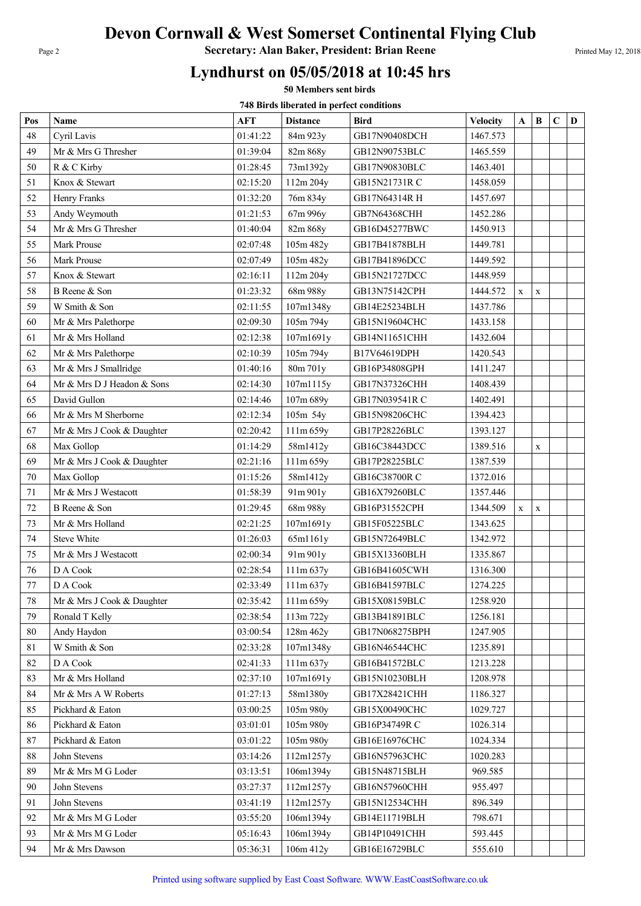# Devon Cornwall & West Somerset Continental Flying Club

Page 2 **Secretary: Alan Baker, President: Brian Reene** Printed May 12, 2018

### Lyndhurst on 05/05/2018 at 10:45 hrs

50 Members sent birds

748 Birds liberated in perfect conditions

| Pos    | Name                       | <b>AFT</b> | <b>Distance</b> | <b>Bird</b>    | <b>Velocity</b> | $\mathbf{A}$ | $\bf{B}$    | $\mathbf C$ | D |
|--------|----------------------------|------------|-----------------|----------------|-----------------|--------------|-------------|-------------|---|
| 48     | Cyril Lavis                | 01:41:22   | 84m 923y        | GB17N90408DCH  | 1467.573        |              |             |             |   |
| 49     | Mr & Mrs G Thresher        | 01:39:04   | 82m 868y        | GB12N90753BLC  | 1465.559        |              |             |             |   |
| 50     | R & C Kirby                | 01:28:45   | 73m1392y        | GB17N90830BLC  | 1463.401        |              |             |             |   |
| 51     | Knox & Stewart             | 02:15:20   | 112m 204y       | GB15N21731R C  | 1458.059        |              |             |             |   |
| 52     | Henry Franks               | 01:32:20   | 76m 834y        | GB17N64314R H  | 1457.697        |              |             |             |   |
| 53     | Andy Weymouth              | 01:21:53   | 67m 996y        | GB7N64368CHH   | 1452.286        |              |             |             |   |
| 54     | Mr & Mrs G Thresher        | 01:40:04   | 82m 868y        | GB16D45277BWC  | 1450.913        |              |             |             |   |
| 55     | Mark Prouse                | 02:07:48   | 105m 482y       | GB17B41878BLH  | 1449.781        |              |             |             |   |
| 56     | Mark Prouse                | 02:07:49   | 105m 482y       | GB17B41896DCC  | 1449.592        |              |             |             |   |
| 57     | Knox & Stewart             | 02:16:11   | 112m 204y       | GB15N21727DCC  | 1448.959        |              |             |             |   |
| 58     | B Reene & Son              | 01:23:32   | 68m 988y        | GB13N75142CPH  | 1444.572        | $\mathbf X$  | $\mathbf x$ |             |   |
| 59     | W Smith & Son              | 02:11:55   | 107m1348y       | GB14E25234BLH  | 1437.786        |              |             |             |   |
| 60     | Mr & Mrs Palethorpe        | 02:09:30   | 105m 794y       | GB15N19604CHC  | 1433.158        |              |             |             |   |
| 61     | Mr & Mrs Holland           | 02:12:38   | 107m1691y       | GB14N11651CHH  | 1432.604        |              |             |             |   |
| 62     | Mr & Mrs Palethorpe        | 02:10:39   | 105m 794y       | B17V64619DPH   | 1420.543        |              |             |             |   |
| 63     | Mr & Mrs J Smallridge      | 01:40:16   | 80m 701y        | GB16P34808GPH  | 1411.247        |              |             |             |   |
| 64     | Mr & Mrs D J Headon & Sons | 02:14:30   | 107m1115y       | GB17N37326CHH  | 1408.439        |              |             |             |   |
| 65     | David Gullon               | 02:14:46   | 107m 689y       | GB17N039541RC  | 1402.491        |              |             |             |   |
| 66     | Mr & Mrs M Sherborne       | 02:12:34   | 105m 54y        | GB15N98206CHC  | 1394.423        |              |             |             |   |
| 67     | Mr & Mrs J Cook & Daughter | 02:20:42   | 111m 659y       | GB17P28226BLC  | 1393.127        |              |             |             |   |
| 68     | Max Gollop                 | 01:14:29   | 58m1412y        | GB16C38443DCC  | 1389.516        |              | $\mathbf x$ |             |   |
| 69     | Mr & Mrs J Cook & Daughter | 02:21:16   | 111m 659y       | GB17P28225BLC  | 1387.539        |              |             |             |   |
| 70     | Max Gollop                 | 01:15:26   | 58m1412y        | GB16C38700R C  | 1372.016        |              |             |             |   |
| 71     | Mr & Mrs J Westacott       | 01:58:39   | 91m 901y        | GB16X79260BLC  | 1357.446        |              |             |             |   |
| 72     | B Reene & Son              | 01:29:45   | 68m 988y        | GB16P31552CPH  | 1344.509        | $\mathbf X$  | $\mathbf x$ |             |   |
| 73     | Mr & Mrs Holland           | 02:21:25   | 107m1691y       | GB15F05225BLC  | 1343.625        |              |             |             |   |
| 74     | <b>Steve White</b>         | 01:26:03   | 65m1161y        | GB15N72649BLC  | 1342.972        |              |             |             |   |
| 75     | Mr & Mrs J Westacott       | 02:00:34   | 91m 901y        | GB15X13360BLH  | 1335.867        |              |             |             |   |
| 76     | D A Cook                   | 02:28:54   | 111m 637y       | GB16B41605CWH  | 1316.300        |              |             |             |   |
| 77     | D A Cook                   | 02:33:49   | $111m\,637y$    | GB16B41597BLC  | 1274.225        |              |             |             |   |
| 78     | Mr & Mrs J Cook & Daughter | 02:35:42   | 111m 659y       | GB15X08159BLC  | 1258.920        |              |             |             |   |
| 79     | Ronald T Kelly             | 02:38:54   | 113m 722y       | GB13B41891BLC  | 1256.181        |              |             |             |   |
| 80     | Andy Haydon                | 03:00:54   | 128m 462y       | GB17N068275BPH | 1247.905        |              |             |             |   |
| 81     | W Smith & Son              | 02:33:28   | 107m1348y       | GB16N46544CHC  | 1235.891        |              |             |             |   |
| 82     | D A Cook                   | 02:41:33   | 111m 637y       | GB16B41572BLC  | 1213.228        |              |             |             |   |
| 83     | Mr & Mrs Holland           | 02:37:10   | 107m1691y       | GB15N10230BLH  | 1208.978        |              |             |             |   |
| 84     | Mr & Mrs A W Roberts       | 01:27:13   | 58m1380y        | GB17X28421CHH  | 1186.327        |              |             |             |   |
| 85     | Pickhard & Eaton           | 03:00:25   | 105m 980y       | GB15X00490CHC  | 1029.727        |              |             |             |   |
| 86     | Pickhard & Eaton           | 03:01:01   | 105m 980y       | GB16P34749RC   | 1026.314        |              |             |             |   |
| 87     | Pickhard & Eaton           | 03:01:22   | 105m 980y       | GB16E16976CHC  | 1024.334        |              |             |             |   |
| $88\,$ | John Stevens               | 03:14:26   | 112m1257y       | GB16N57963CHC  | 1020.283        |              |             |             |   |
| 89     | Mr & Mrs M G Loder         | 03:13:51   | 106m1394y       | GB15N48715BLH  | 969.585         |              |             |             |   |
| 90     | John Stevens               | 03:27:37   | 112m1257y       | GB16N57960CHH  | 955.497         |              |             |             |   |
| 91     | John Stevens               | 03:41:19   | 112m1257y       | GB15N12534CHH  | 896.349         |              |             |             |   |
| 92     | Mr & Mrs M G Loder         | 03:55:20   | 106m1394y       | GB14E11719BLH  | 798.671         |              |             |             |   |
| 93     | Mr & Mrs M G Loder         | 05:16:43   | 106m1394y       | GB14P10491CHH  | 593.445         |              |             |             |   |
| 94     | Mr & Mrs Dawson            | 05:36:31   | 106m 412y       | GB16E16729BLC  | 555.610         |              |             |             |   |